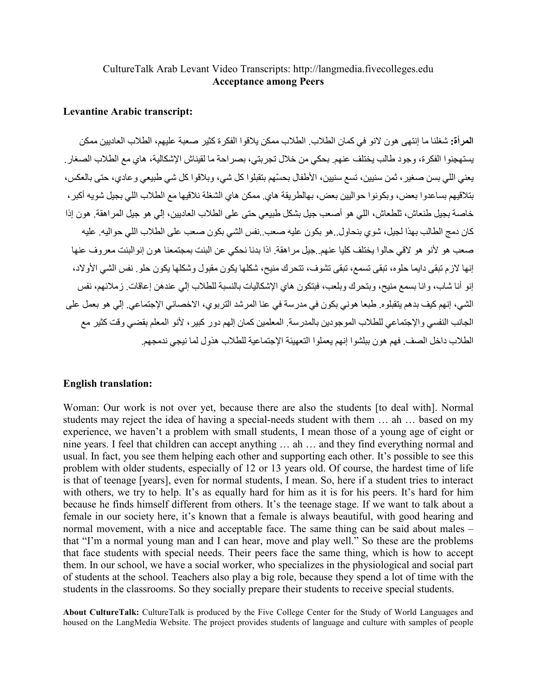## CultureTalk Arab Levant Video Transcripts: http://langmedia.fivecolleges.edu **Acceptance among Peers**

## **Levantine Arabic transcript:**

المرأة: شغلنا ما إنتهي هون لانو في كمان الطلاب الطلاب ممكن يلاقوا الفكر ة كثير صعبة عليهم، الطلاب العاديين ممكن يستهجنوا الفكرة، وجود طالب يختلف عنهم بحكي من خلال تجربتي، بصر احة ما لقيناش الإشكالية، هاي مع الطلاب الصغار . يعني اللي بسن صغير ، ثمن سنبين، تسع سنبين، الأطفال بحسّهم بتقبلوا كل شي، وبلاقوا كل شي طبيعي وعادي، حتى بالعكس، بتلاقيهم بساعدوا بعض، ويكونوا حواليين بعض، بهالطريقة هاي ممكن هاي الشغلة نلاقيها مع الطلاب اللي بجيل شويه أكبر ، خاصة بجيل طنعاش، تلطعاش، اللي هو أصعب جيل بشكل طبيعي حتى على الطلاب العاديين، إلى هو جيل المر اهقة. هون إذا كان دمج الطالب بهذا لجيل، شوى بنحاول ِ هو بكون عليه صعب ِ نفس الشي بكون صعب على الطلاب اللي حواليه ِ عليه صعب هو لأنو هو لاقي حالوا يختلف كليا عنهم جيل مراهقة إذا بدنا نحكي عن البنت بمجتمعنا هون إنوالبنت معروف عنها إنها لازم تبقى دايما حلوه، تبقى تسمع، تبقى تشوف، تتحرك منيح، شكلها يكون مقبول وشكلها يكون حلو ٍ نفس الشي الأولاد، إنو أنا شاب، و انا بسمع منيح، و بنحر ك و بلعب، فبنكون هاي الإشكاليات بالنسبة للطلاب إلى عندهن إعاقات ز ملائهم، نفس الشي، إنهم كيف بدهم يتقبلوه. طبعا هوني بكون في مدرسة في عنا المرشد التربوي، الاخصائي الإجتماعي. إلى هو بعمل على الجانب النفسي والإجتماعي للطلاب الموجودين بالمدرسة المعلمين كمان إلهم دور كبير ، لأنو المعلم بقضي وقت كثير مع الطلاب داخل الصف فهم هون ببلشوا إنهم يعملوا التعهيئة الإجتماعية للطلاب هذول لما نيجى ندمجهم.

## **English translation:**

Woman: Our work is not over yet, because there are also the students [to deal with]. Normal students may reject the idea of having a special-needs student with them ... ah ... based on my experience, we haven't a problem with small students. I mean those of a young age of eight or nine years. I feel that children can accept anything ... ah ... and they find everything normal and usual. In fact, you see them helping each other and supporting each other. It's possible to see this problem with older students, especially of 12 or 13 years old. Of course, the hardest time of life is that of teenage [years], even for normal students, I mean. So, here if a student tries to interact with others, we try to help. It's as equally hard for him as it is for his peers. It's hard for him because he finds himself different from others. It's the teenage stage. If we want to talk about a female in our society here, it's known that a female is always beautiful, with good hearing and normal movement, with a nice and acceptable face. The same thing can be said about males – that "I'm a normal young man and I can hear, move and play well." So these are the problems that face students with special needs. Their peers face the same thing, which is how to accept them. In our school, we have a social worker, who specializes in the physiological and social part of students at the school. Teachers also play a big role, because they spend a lot of time with the students in the classrooms. So they socially prepare their students to receive special students.

About CultureTalk: CultureTalk is produced by the Five College Center for the Study of World Languages and housed on the LangMedia Website. The project provides students of language and culture with samples of people